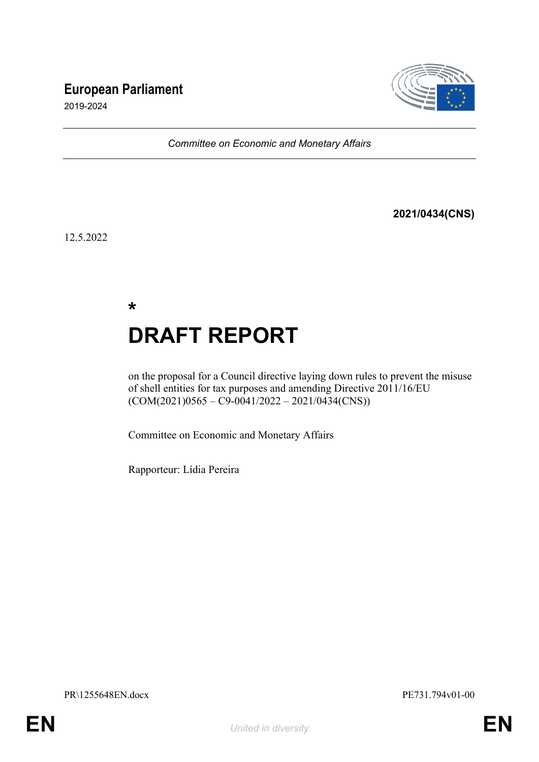# **European Parliament**



2019-2024

*Committee on Economic and Monetary Affairs*

**2021/0434(CNS)**

12.5.2022

**\* DRAFT REPORT**

on the proposal for a Council directive laying down rules to prevent the misuse of shell entities for tax purposes and amending Directive 2011/16/EU  $(COM(2021)0565 - C9 - 0041/2022 - 2021/0434(CNS))$ 

Committee on Economic and Monetary Affairs

Rapporteur: Lídia Pereira

PR\1255648EN.docx PE731.794v01-00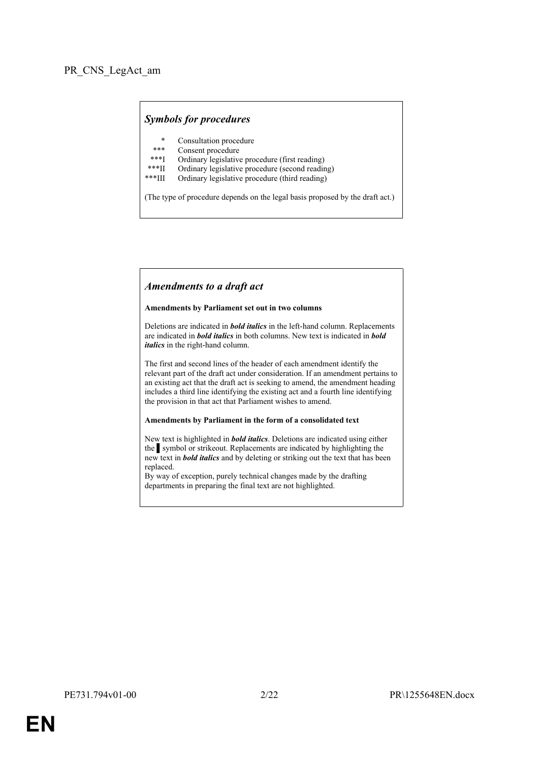# *Symbols for procedures*

- \* Consultation procedure
- Consent procedure
- \*\*\*I Ordinary legislative procedure (first reading)<br>\*\*\*II Ordinary legislative procedure (second reading)
- \*\*\*II Ordinary legislative procedure (second reading)
- Ordinary legislative procedure (third reading)

(The type of procedure depends on the legal basis proposed by the draft act.)

#### *Amendments to a draft act*

#### **Amendments by Parliament set out in two columns**

Deletions are indicated in *bold italics* in the left-hand column. Replacements are indicated in *bold italics* in both columns. New text is indicated in *bold italics* in the right-hand column.

The first and second lines of the header of each amendment identify the relevant part of the draft act under consideration. If an amendment pertains to an existing act that the draft act is seeking to amend, the amendment heading includes a third line identifying the existing act and a fourth line identifying the provision in that act that Parliament wishes to amend.

#### **Amendments by Parliament in the form of a consolidated text**

New text is highlighted in *bold italics*. Deletions are indicated using either the symbol or strikeout. Replacements are indicated by highlighting the new text in *bold italics* and by deleting or striking out the text that has been replaced.

By way of exception, purely technical changes made by the drafting departments in preparing the final text are not highlighted.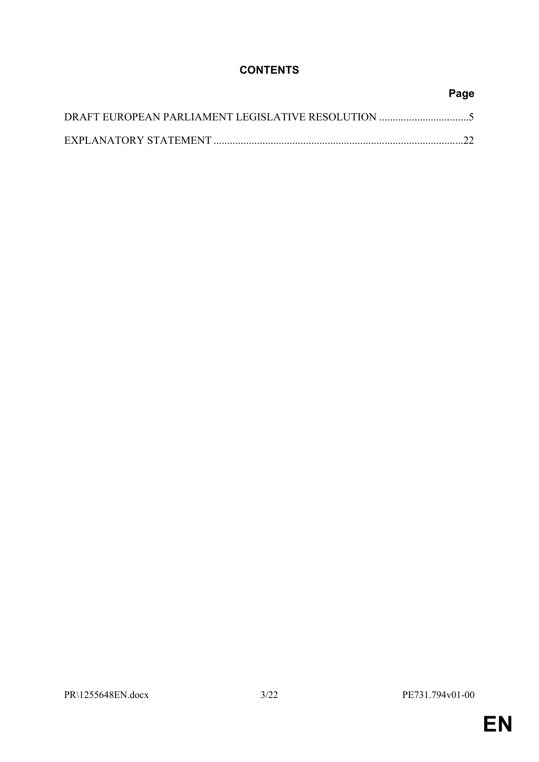# **CONTENTS**

| Page |
|------|
|      |
|      |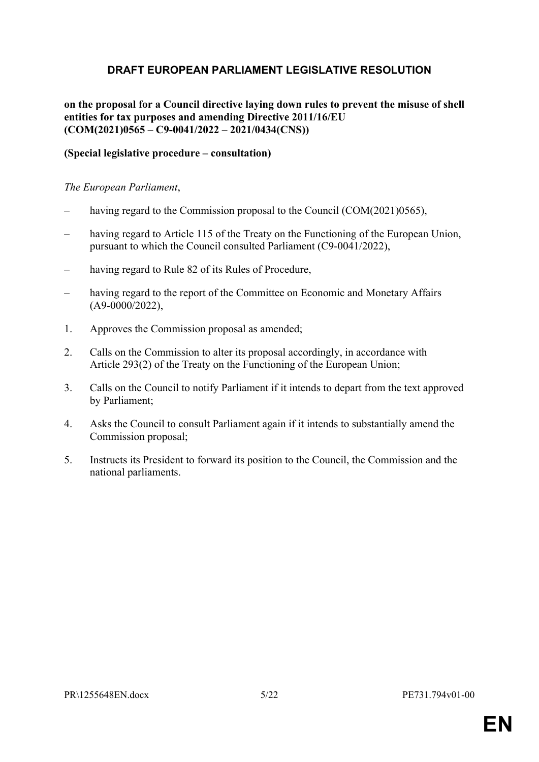# <span id="page-4-0"></span>**DRAFT EUROPEAN PARLIAMENT LEGISLATIVE RESOLUTION**

**on the proposal for a Council directive laying down rules to prevent the misuse of shell entities for tax purposes and amending Directive 2011/16/EU (COM(2021)0565 – C9-0041/2022 – 2021/0434(CNS))**

# **(Special legislative procedure – consultation)**

### *The European Parliament*,

- having regard to the Commission proposal to the Council (COM(2021)0565),
- having regard to Article 115 of the Treaty on the Functioning of the European Union, pursuant to which the Council consulted Parliament (C9-0041/2022),
- having regard to Rule 82 of its Rules of Procedure,
- having regard to the report of the Committee on Economic and Monetary Affairs (A9-0000/2022),
- 1. Approves the Commission proposal as amended;
- 2. Calls on the Commission to alter its proposal accordingly, in accordance with Article 293(2) of the Treaty on the Functioning of the European Union;
- 3. Calls on the Council to notify Parliament if it intends to depart from the text approved by Parliament;
- 4. Asks the Council to consult Parliament again if it intends to substantially amend the Commission proposal;
- 5. Instructs its President to forward its position to the Council, the Commission and the national parliaments.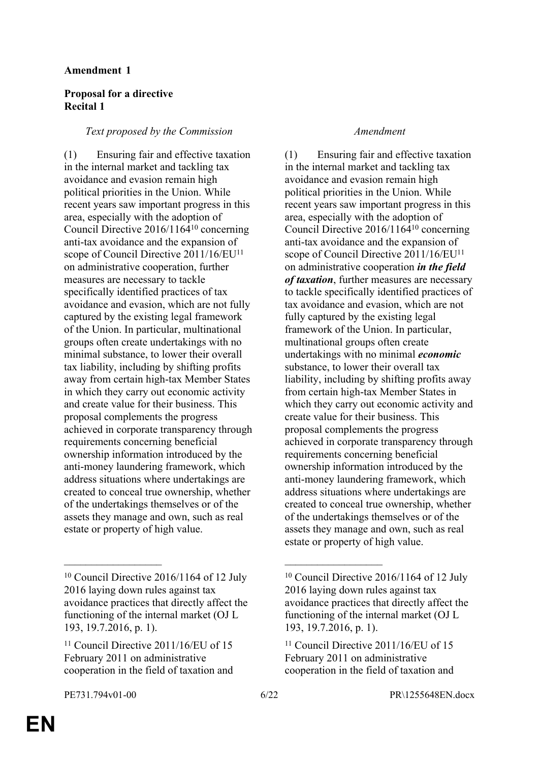# **Amendment 1**

# **Proposal for a directive Recital 1**

# *Text proposed by the Commission Amendment*

(1) Ensuring fair and effective taxation in the internal market and tackling tax avoidance and evasion remain high political priorities in the Union. While recent years saw important progress in this area, especially with the adoption of Council Directive 2016/1164<sup>10</sup> concerning anti-tax avoidance and the expansion of scope of Council Directive 2011/16/EU<sup>11</sup> on administrative cooperation, further measures are necessary to tackle specifically identified practices of tax avoidance and evasion, which are not fully captured by the existing legal framework of the Union. In particular, multinational groups often create undertakings with no minimal substance, to lower their overall tax liability, including by shifting profits away from certain high-tax Member States in which they carry out economic activity and create value for their business. This proposal complements the progress achieved in corporate transparency through requirements concerning beneficial ownership information introduced by the anti-money laundering framework, which address situations where undertakings are created to conceal true ownership, whether of the undertakings themselves or of the assets they manage and own, such as real estate or property of high value.

(1) Ensuring fair and effective taxation in the internal market and tackling tax avoidance and evasion remain high political priorities in the Union. While recent years saw important progress in this area, especially with the adoption of Council Directive 2016/1164<sup>10</sup> concerning anti-tax avoidance and the expansion of scope of Council Directive 2011/16/EU<sup>11</sup> on administrative cooperation *in the field of taxation*, further measures are necessary to tackle specifically identified practices of tax avoidance and evasion, which are not fully captured by the existing legal framework of the Union. In particular, multinational groups often create undertakings with no minimal *economic* substance, to lower their overall tax liability, including by shifting profits away from certain high-tax Member States in which they carry out economic activity and create value for their business. This proposal complements the progress achieved in corporate transparency through requirements concerning beneficial ownership information introduced by the anti-money laundering framework, which address situations where undertakings are created to conceal true ownership, whether of the undertakings themselves or of the assets they manage and own, such as real estate or property of high value.

 $\mathcal{L}_\text{max}$  , and the contract of the contract of the contract of the contract of the contract of the contract of

<sup>10</sup> Council Directive 2016/1164 of 12 July 2016 laying down rules against tax avoidance practices that directly affect the functioning of the internal market (OJ L 193, 19.7.2016, p. 1).

<sup>&</sup>lt;sup>11</sup> Council Directive 2011/16/EU of 15 February 2011 on administrative cooperation in the field of taxation and

<sup>10</sup> Council Directive 2016/1164 of 12 July 2016 laying down rules against tax avoidance practices that directly affect the functioning of the internal market (OJ L 193, 19.7.2016, p. 1).

 $11$  Council Directive 2011/16/EU of 15 February 2011 on administrative cooperation in the field of taxation and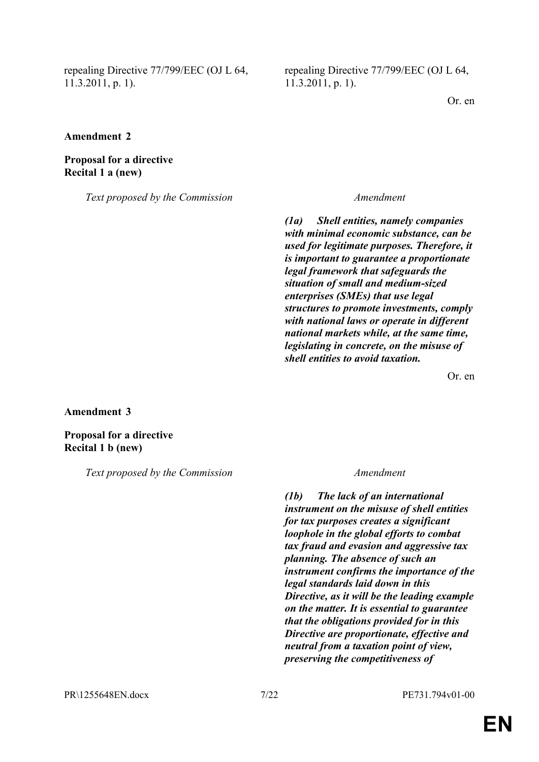repealing Directive 77/799/EEC (OJ L 64, 11.3.2011, p. 1).

repealing Directive 77/799/EEC (OJ L 64, 11.3.2011, p. 1).

Or. en

**Amendment 2**

**Proposal for a directive Recital 1 a (new)**

*Text proposed by the Commission Amendment*

*(1a) Shell entities, namely companies with minimal economic substance, can be used for legitimate purposes. Therefore, it is important to guarantee a proportionate legal framework that safeguards the situation of small and medium-sized enterprises (SMEs) that use legal structures to promote investments, comply with national laws or operate in different national markets while, at the same time, legislating in concrete, on the misuse of shell entities to avoid taxation.*

Or. en

**Amendment 3**

**Proposal for a directive Recital 1 b (new)**

*Text proposed by the Commission Amendment*

*(1b) The lack of an international instrument on the misuse of shell entities for tax purposes creates a significant loophole in the global efforts to combat tax fraud and evasion and aggressive tax planning. The absence of such an instrument confirms the importance of the legal standards laid down in this Directive, as it will be the leading example on the matter. It is essential to guarantee that the obligations provided for in this Directive are proportionate, effective and neutral from a taxation point of view, preserving the competitiveness of*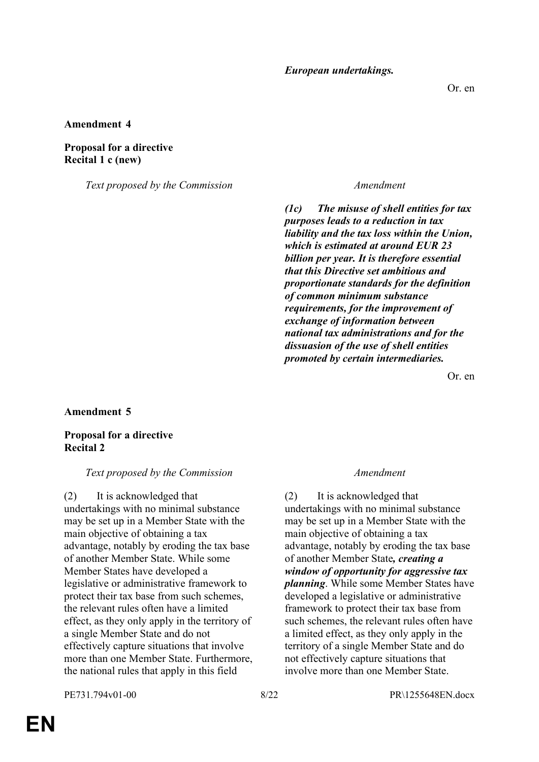*European undertakings.*

#### **Amendment 4**

#### **Proposal for a directive Recital 1 c (new)**

*Text proposed by the Commission Amendment*

*(1c) The misuse of shell entities for tax purposes leads to a reduction in tax liability and the tax loss within the Union, which is estimated at around EUR 23 billion per year. It is therefore essential that this Directive set ambitious and proportionate standards for the definition of common minimum substance requirements, for the improvement of exchange of information between national tax administrations and for the dissuasion of the use of shell entities promoted by certain intermediaries.*

Or. en

**Amendment 5**

### **Proposal for a directive Recital 2**

#### *Text proposed by the Commission Amendment*

(2) It is acknowledged that undertakings with no minimal substance may be set up in a Member State with the main objective of obtaining a tax advantage, notably by eroding the tax base of another Member State. While some Member States have developed a legislative or administrative framework to protect their tax base from such schemes, the relevant rules often have a limited effect, as they only apply in the territory of a single Member State and do not effectively capture situations that involve more than one Member State. Furthermore, the national rules that apply in this field

(2) It is acknowledged that undertakings with no minimal substance may be set up in a Member State with the main objective of obtaining a tax advantage, notably by eroding the tax base of another Member State*, creating a window of opportunity for aggressive tax planning*. While some Member States have developed a legislative or administrative framework to protect their tax base from such schemes, the relevant rules often have a limited effect, as they only apply in the territory of a single Member State and do not effectively capture situations that involve more than one Member State.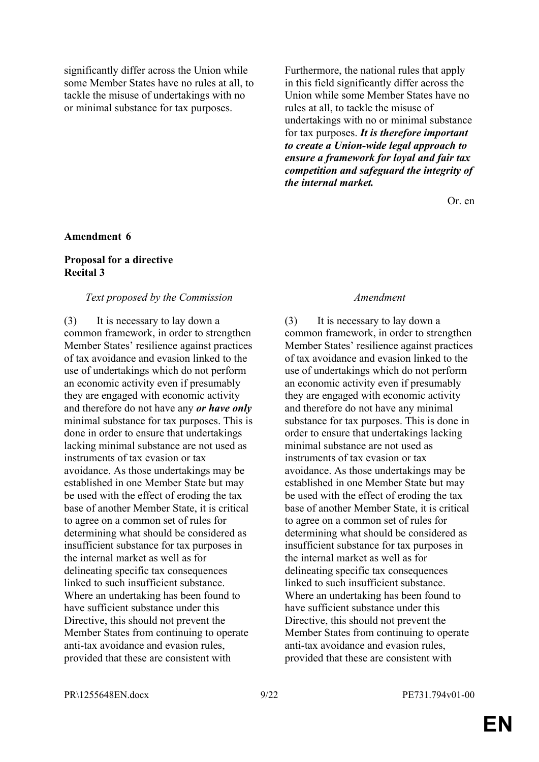significantly differ across the Union while some Member States have no rules at all, to tackle the misuse of undertakings with no or minimal substance for tax purposes.

Furthermore, the national rules that apply in this field significantly differ across the Union while some Member States have no rules at all, to tackle the misuse of undertakings with no or minimal substance for tax purposes. *It is therefore important to create a Union-wide legal approach to ensure a framework for loyal and fair tax competition and safeguard the integrity of the internal market.*

Or. en

#### **Amendment 6**

## **Proposal for a directive Recital 3**

#### *Text proposed by the Commission Amendment*

(3) It is necessary to lay down a common framework, in order to strengthen Member States' resilience against practices of tax avoidance and evasion linked to the use of undertakings which do not perform an economic activity even if presumably they are engaged with economic activity and therefore do not have any *or have only* minimal substance for tax purposes. This is done in order to ensure that undertakings lacking minimal substance are not used as instruments of tax evasion or tax avoidance. As those undertakings may be established in one Member State but may be used with the effect of eroding the tax base of another Member State, it is critical to agree on a common set of rules for determining what should be considered as insufficient substance for tax purposes in the internal market as well as for delineating specific tax consequences linked to such insufficient substance. Where an undertaking has been found to have sufficient substance under this Directive, this should not prevent the Member States from continuing to operate anti-tax avoidance and evasion rules, provided that these are consistent with

(3) It is necessary to lay down a common framework, in order to strengthen Member States' resilience against practices of tax avoidance and evasion linked to the use of undertakings which do not perform an economic activity even if presumably they are engaged with economic activity and therefore do not have any minimal substance for tax purposes. This is done in order to ensure that undertakings lacking minimal substance are not used as instruments of tax evasion or tax avoidance. As those undertakings may be established in one Member State but may be used with the effect of eroding the tax base of another Member State, it is critical to agree on a common set of rules for determining what should be considered as insufficient substance for tax purposes in the internal market as well as for delineating specific tax consequences linked to such insufficient substance. Where an undertaking has been found to have sufficient substance under this Directive, this should not prevent the Member States from continuing to operate anti-tax avoidance and evasion rules, provided that these are consistent with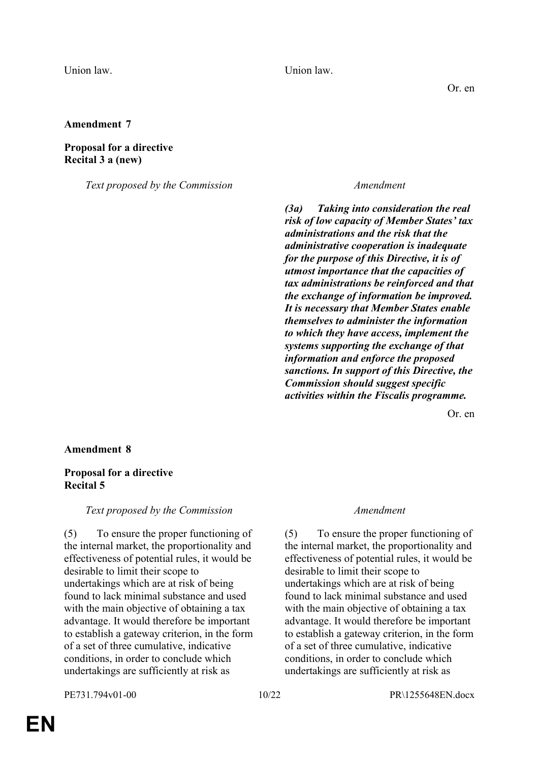Union law. Union law.

Or. en

## **Amendment 7**

### **Proposal for a directive Recital 3 a (new)**

*Text proposed by the Commission Amendment*

*(3a) Taking into consideration the real risk of low capacity of Member States' tax administrations and the risk that the administrative cooperation is inadequate for the purpose of this Directive, it is of utmost importance that the capacities of tax administrations be reinforced and that the exchange of information be improved. It is necessary that Member States enable themselves to administer the information to which they have access, implement the systems supporting the exchange of that information and enforce the proposed sanctions. In support of this Directive, the Commission should suggest specific activities within the Fiscalis programme.*

Or. en

### **Amendment 8**

# **Proposal for a directive Recital 5**

*Text proposed by the Commission Amendment*

(5) To ensure the proper functioning of the internal market, the proportionality and effectiveness of potential rules, it would be desirable to limit their scope to undertakings which are at risk of being found to lack minimal substance and used with the main objective of obtaining a tax advantage. It would therefore be important to establish a gateway criterion, in the form of a set of three cumulative, indicative conditions, in order to conclude which undertakings are sufficiently at risk as

(5) To ensure the proper functioning of the internal market, the proportionality and effectiveness of potential rules, it would be desirable to limit their scope to undertakings which are at risk of being found to lack minimal substance and used with the main objective of obtaining a tax advantage. It would therefore be important to establish a gateway criterion, in the form of a set of three cumulative, indicative conditions, in order to conclude which undertakings are sufficiently at risk as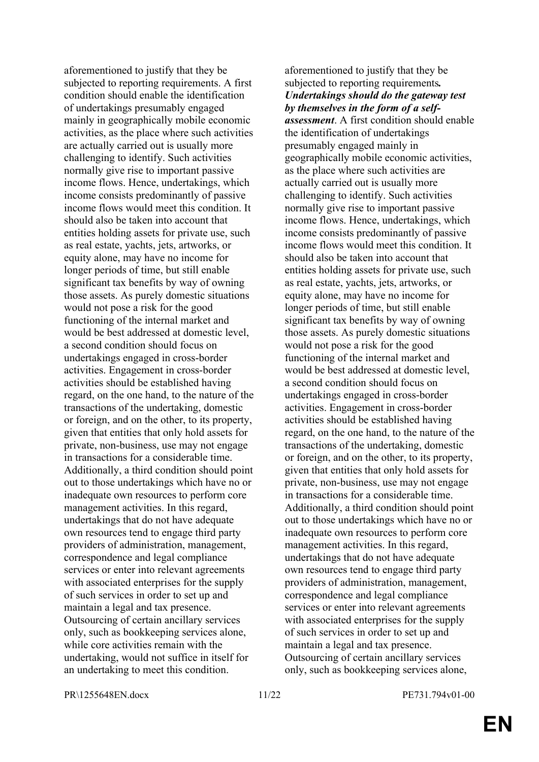aforementioned to justify that they be subjected to reporting requirements. A first condition should enable the identification of undertakings presumably engaged mainly in geographically mobile economic activities, as the place where such activities are actually carried out is usually more challenging to identify. Such activities normally give rise to important passive income flows. Hence, undertakings, which income consists predominantly of passive income flows would meet this condition. It should also be taken into account that entities holding assets for private use, such as real estate, yachts, jets, artworks, or equity alone, may have no income for longer periods of time, but still enable significant tax benefits by way of owning those assets. As purely domestic situations would not pose a risk for the good functioning of the internal market and would be best addressed at domestic level, a second condition should focus on undertakings engaged in cross-border activities. Engagement in cross-border activities should be established having regard, on the one hand, to the nature of the transactions of the undertaking, domestic or foreign, and on the other, to its property, given that entities that only hold assets for private, non-business, use may not engage in transactions for a considerable time. Additionally, a third condition should point out to those undertakings which have no or inadequate own resources to perform core management activities. In this regard, undertakings that do not have adequate own resources tend to engage third party providers of administration, management, correspondence and legal compliance services or enter into relevant agreements with associated enterprises for the supply of such services in order to set up and maintain a legal and tax presence. Outsourcing of certain ancillary services only, such as bookkeeping services alone, while core activities remain with the undertaking, would not suffice in itself for an undertaking to meet this condition.

aforementioned to justify that they be subjected to reporting requirements*. Undertakings should do the gateway test by themselves in the form of a selfassessment*. A first condition should enable the identification of undertakings presumably engaged mainly in geographically mobile economic activities, as the place where such activities are actually carried out is usually more challenging to identify. Such activities normally give rise to important passive income flows. Hence, undertakings, which income consists predominantly of passive income flows would meet this condition. It should also be taken into account that entities holding assets for private use, such as real estate, yachts, jets, artworks, or equity alone, may have no income for longer periods of time, but still enable significant tax benefits by way of owning those assets. As purely domestic situations would not pose a risk for the good functioning of the internal market and would be best addressed at domestic level, a second condition should focus on undertakings engaged in cross-border activities. Engagement in cross-border activities should be established having regard, on the one hand, to the nature of the transactions of the undertaking, domestic or foreign, and on the other, to its property, given that entities that only hold assets for private, non-business, use may not engage in transactions for a considerable time. Additionally, a third condition should point out to those undertakings which have no or inadequate own resources to perform core management activities. In this regard, undertakings that do not have adequate own resources tend to engage third party providers of administration, management, correspondence and legal compliance services or enter into relevant agreements with associated enterprises for the supply of such services in order to set up and maintain a legal and tax presence. Outsourcing of certain ancillary services only, such as bookkeeping services alone,

PR\1255648EN.docx 11/22 PE731.794v01-00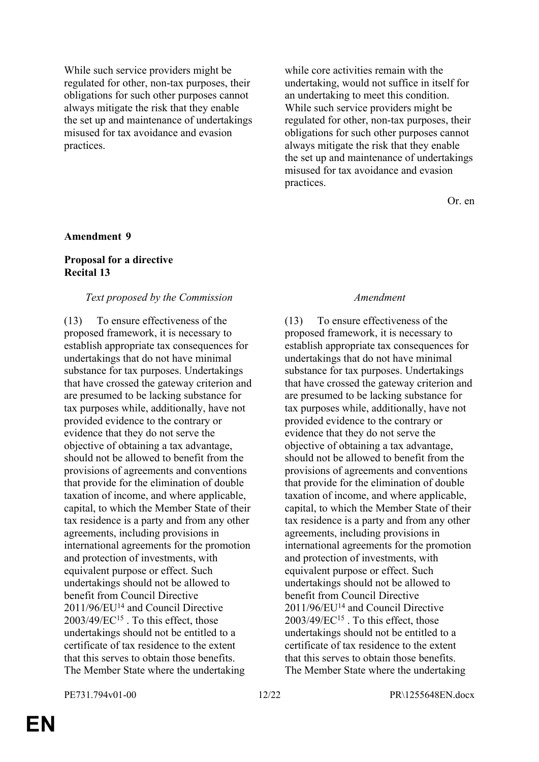While such service providers might be regulated for other, non-tax purposes, their obligations for such other purposes cannot always mitigate the risk that they enable the set up and maintenance of undertakings misused for tax avoidance and evasion practices.

while core activities remain with the undertaking, would not suffice in itself for an undertaking to meet this condition. While such service providers might be regulated for other, non-tax purposes, their obligations for such other purposes cannot always mitigate the risk that they enable the set up and maintenance of undertakings misused for tax avoidance and evasion practices.

Or. en

#### **Amendment 9**

# **Proposal for a directive Recital 13**

#### *Text proposed by the Commission Amendment*

(13) To ensure effectiveness of the proposed framework, it is necessary to establish appropriate tax consequences for undertakings that do not have minimal substance for tax purposes. Undertakings that have crossed the gateway criterion and are presumed to be lacking substance for tax purposes while, additionally, have not provided evidence to the contrary or evidence that they do not serve the objective of obtaining a tax advantage, should not be allowed to benefit from the provisions of agreements and conventions that provide for the elimination of double taxation of income, and where applicable, capital, to which the Member State of their tax residence is a party and from any other agreements, including provisions in international agreements for the promotion and protection of investments, with equivalent purpose or effect. Such undertakings should not be allowed to benefit from Council Directive 2011/96/EU<sup>14</sup> and Council Directive 2003/49/EC<sup>15</sup> . To this effect, those undertakings should not be entitled to a certificate of tax residence to the extent that this serves to obtain those benefits. The Member State where the undertaking

(13) To ensure effectiveness of the proposed framework, it is necessary to establish appropriate tax consequences for undertakings that do not have minimal substance for tax purposes. Undertakings that have crossed the gateway criterion and are presumed to be lacking substance for tax purposes while, additionally, have not provided evidence to the contrary or evidence that they do not serve the objective of obtaining a tax advantage, should not be allowed to benefit from the provisions of agreements and conventions that provide for the elimination of double taxation of income, and where applicable, capital, to which the Member State of their tax residence is a party and from any other agreements, including provisions in international agreements for the promotion and protection of investments, with equivalent purpose or effect. Such undertakings should not be allowed to benefit from Council Directive 2011/96/EU<sup>14</sup> and Council Directive 2003/49/EC<sup>15</sup> . To this effect, those undertakings should not be entitled to a certificate of tax residence to the extent that this serves to obtain those benefits. The Member State where the undertaking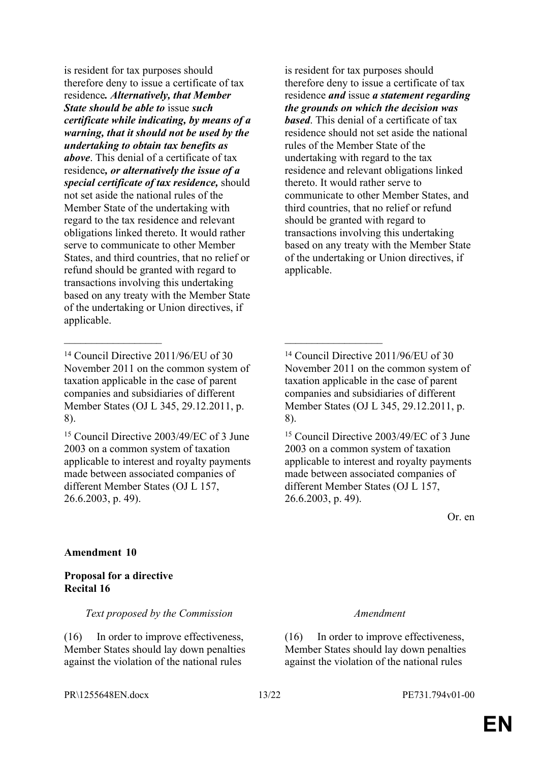is resident for tax purposes should therefore deny to issue a certificate of tax residence*. Alternatively, that Member State should be able to* issue *such certificate while indicating, by means of a warning, that it should not be used by the undertaking to obtain tax benefits as above*. This denial of a certificate of tax residence*, or alternatively the issue of a special certificate of tax residence,* should not set aside the national rules of the Member State of the undertaking with regard to the tax residence and relevant obligations linked thereto. It would rather serve to communicate to other Member States, and third countries, that no relief or refund should be granted with regard to transactions involving this undertaking based on any treaty with the Member State of the undertaking or Union directives, if applicable.

 $\mathcal{L}_\text{max}$  , and the contract of the contract of the contract of the contract of the contract of the contract of

<sup>15</sup> Council Directive 2003/49/EC of 3 June 2003 on a common system of taxation applicable to interest and royalty payments made between associated companies of different Member States (OJ L 157, 26.6.2003, p. 49).

is resident for tax purposes should therefore deny to issue a certificate of tax residence *and* issue *a statement regarding the grounds on which the decision was based*. This denial of a certificate of tax residence should not set aside the national rules of the Member State of the undertaking with regard to the tax residence and relevant obligations linked thereto. It would rather serve to communicate to other Member States, and third countries, that no relief or refund should be granted with regard to transactions involving this undertaking based on any treaty with the Member State of the undertaking or Union directives, if applicable.

<sup>14</sup> Council Directive 2011/96/EU of 30 November 2011 on the common system of taxation applicable in the case of parent companies and subsidiaries of different Member States (OJ L 345, 29.12.2011, p. 8).

<sup>15</sup> Council Directive 2003/49/EC of 3 June 2003 on a common system of taxation applicable to interest and royalty payments made between associated companies of different Member States (OJ L 157, 26.6.2003, p. 49).

Or. en

# **Amendment 10**

# **Proposal for a directive Recital 16**

*Text proposed by the Commission Amendment*

(16) In order to improve effectiveness, Member States should lay down penalties against the violation of the national rules

(16) In order to improve effectiveness, Member States should lay down penalties against the violation of the national rules

<sup>14</sup> Council Directive 2011/96/EU of 30 November 2011 on the common system of taxation applicable in the case of parent companies and subsidiaries of different Member States (OJ L 345, 29.12.2011, p. 8).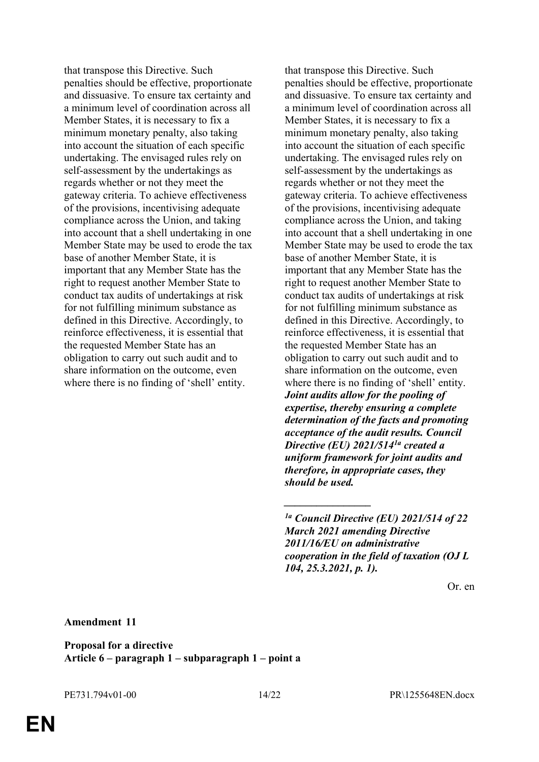that transpose this Directive. Such penalties should be effective, proportionate and dissuasive. To ensure tax certainty and a minimum level of coordination across all Member States, it is necessary to fix a minimum monetary penalty, also taking into account the situation of each specific undertaking. The envisaged rules rely on self-assessment by the undertakings as regards whether or not they meet the gateway criteria. To achieve effectiveness of the provisions, incentivising adequate compliance across the Union, and taking into account that a shell undertaking in one Member State may be used to erode the tax base of another Member State, it is important that any Member State has the right to request another Member State to conduct tax audits of undertakings at risk for not fulfilling minimum substance as defined in this Directive. Accordingly, to reinforce effectiveness, it is essential that the requested Member State has an obligation to carry out such audit and to share information on the outcome, even where there is no finding of 'shell' entity.

that transpose this Directive. Such penalties should be effective, proportionate and dissuasive. To ensure tax certainty and a minimum level of coordination across all Member States, it is necessary to fix a minimum monetary penalty, also taking into account the situation of each specific undertaking. The envisaged rules rely on self-assessment by the undertakings as regards whether or not they meet the gateway criteria. To achieve effectiveness of the provisions, incentivising adequate compliance across the Union, and taking into account that a shell undertaking in one Member State may be used to erode the tax base of another Member State, it is important that any Member State has the right to request another Member State to conduct tax audits of undertakings at risk for not fulfilling minimum substance as defined in this Directive. Accordingly, to reinforce effectiveness, it is essential that the requested Member State has an obligation to carry out such audit and to share information on the outcome, even where there is no finding of 'shell' entity. *Joint audits allow for the pooling of expertise, thereby ensuring a complete determination of the facts and promoting acceptance of the audit results. Council Directive (EU) 2021/5141a created a uniform framework for joint audits and therefore, in appropriate cases, they should be used.*

*\_\_\_\_\_\_\_\_\_\_\_\_\_\_\_\_*

Or. en

**Amendment 11**

**Proposal for a directive Article 6 – paragraph 1 – subparagraph 1 – point a**

*<sup>1</sup>a Council Directive (EU) 2021/514 of 22 March 2021 amending Directive 2011/16/EU on administrative cooperation in the field of taxation (OJ L 104, 25.3.2021, p. 1).*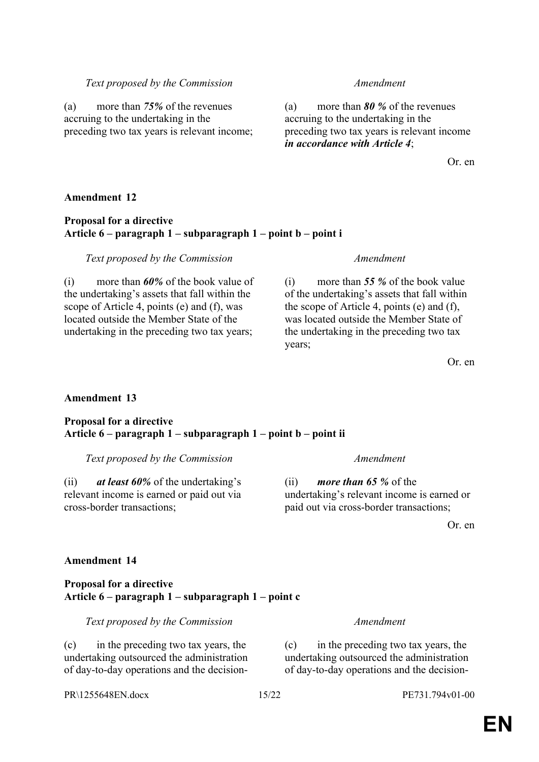(c) in the preceding two tax years, the undertaking outsourced the administration of day-to-day operations and the decision-

# *Text proposed by the Commission Amendment*

(a) more than *75%* of the revenues accruing to the undertaking in the preceding two tax years is relevant income;

(a) more than *80 %* of the revenues accruing to the undertaking in the preceding two tax years is relevant income *in accordance with Article 4*;

Or. en

# **Amendment 12**

# **Proposal for a directive Article 6 – paragraph 1 – subparagraph 1 – point b – point i**

# *Text proposed by the Commission Amendment*

(i) more than *60%* of the book value of the undertaking's assets that fall within the scope of Article 4, points (e) and (f), was located outside the Member State of the undertaking in the preceding two tax years;

(i) more than *55 %* of the book value of the undertaking's assets that fall within the scope of Article 4, points (e) and (f), was located outside the Member State of the undertaking in the preceding two tax years;

Or. en

# **Amendment 13**

### **Proposal for a directive Article 6 – paragraph 1 – subparagraph 1 – point b – point ii**

*Text proposed by the Commission Amendment*

(ii) *at least 60%* of the undertaking's relevant income is earned or paid out via cross-border transactions;

(ii) *more than 65 %* of the undertaking's relevant income is earned or paid out via cross-border transactions;

Or. en

# **Amendment 14**

### **Proposal for a directive Article 6 – paragraph 1 – subparagraph 1 – point c**

*Text proposed by the Commission Amendment*

(c) in the preceding two tax years, the undertaking outsourced the administration of day-to-day operations and the decision-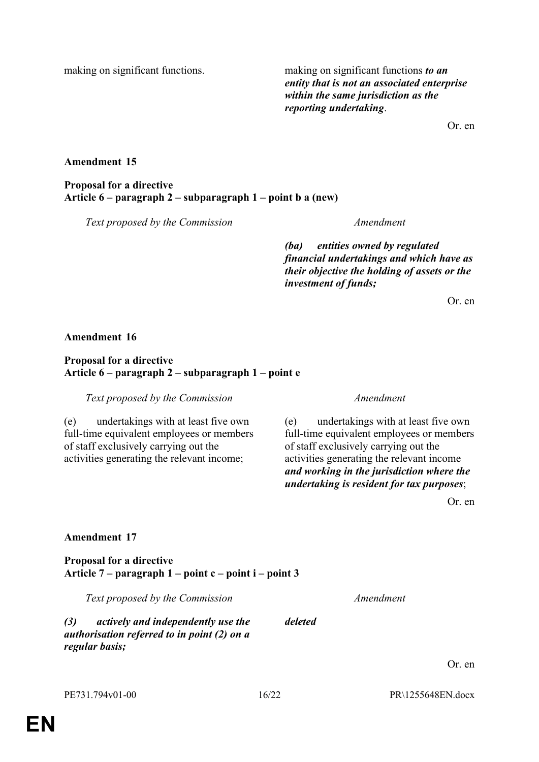making on significant functions. making on significant functions *to an entity that is not an associated enterprise within the same jurisdiction as the reporting undertaking*.

Or. en

## **Amendment 15**

# **Proposal for a directive Article 6 – paragraph 2 – subparagraph 1 – point b a (new)**

*Text proposed by the Commission Amendment*

*(ba) entities owned by regulated financial undertakings and which have as their objective the holding of assets or the investment of funds;*

Or. en

### **Amendment 16**

## **Proposal for a directive Article 6 – paragraph 2 – subparagraph 1 – point e**

*Text proposed by the Commission Amendment*

(e) undertakings with at least five own full-time equivalent employees or members of staff exclusively carrying out the activities generating the relevant income;

(e) undertakings with at least five own full-time equivalent employees or members of staff exclusively carrying out the activities generating the relevant income *and working in the jurisdiction where the undertaking is resident for tax purposes*;

Or. en

Or. en

### **Amendment 17**

**Proposal for a directive Article 7 – paragraph 1 – point c – point i – point 3**

| Text proposed by the Commission                                                                                   |         | Amendment |
|-------------------------------------------------------------------------------------------------------------------|---------|-----------|
| (3)<br>actively and independently use the<br><i>authorisation referred to in point (2) on a</i><br>regular basis; | deleted |           |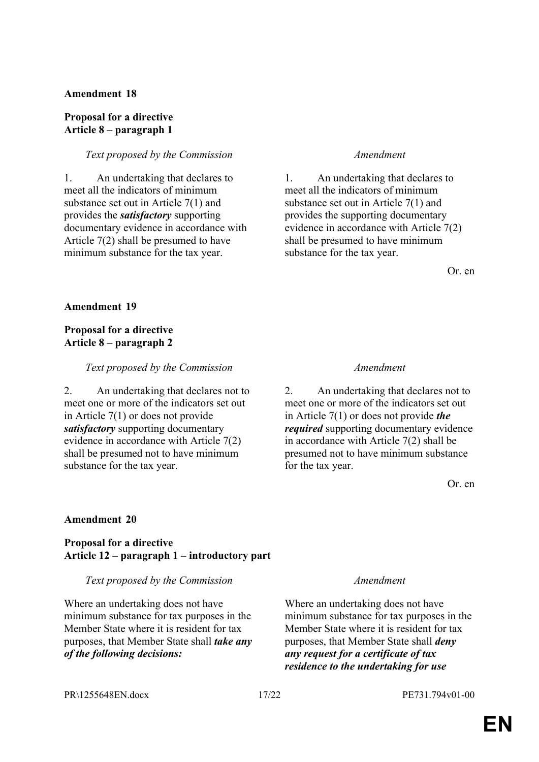### **Amendment 18**

### **Proposal for a directive Article 8 – paragraph 1**

### *Text proposed by the Commission Amendment*

1. An undertaking that declares to meet all the indicators of minimum substance set out in Article 7(1) and provides the *satisfactory* supporting documentary evidence in accordance with Article 7(2) shall be presumed to have minimum substance for the tax year.

1. An undertaking that declares to meet all the indicators of minimum substance set out in Article 7(1) and provides the supporting documentary evidence in accordance with Article 7(2) shall be presumed to have minimum substance for the tax year.

Or. en

### **Amendment 19**

## **Proposal for a directive Article 8 – paragraph 2**

#### *Text proposed by the Commission Amendment*

2. An undertaking that declares not to meet one or more of the indicators set out in Article 7(1) or does not provide *satisfactory* supporting documentary evidence in accordance with Article 7(2) shall be presumed not to have minimum substance for the tax year.

2. An undertaking that declares not to meet one or more of the indicators set out in Article 7(1) or does not provide *the required* supporting documentary evidence in accordance with Article 7(2) shall be presumed not to have minimum substance for the tax year.

Or. en

# **Amendment 20**

# **Proposal for a directive Article 12 – paragraph 1 – introductory part**

#### *Text proposed by the Commission Amendment*

Where an undertaking does not have minimum substance for tax purposes in the Member State where it is resident for tax purposes, that Member State shall *take any of the following decisions:*

Where an undertaking does not have minimum substance for tax purposes in the Member State where it is resident for tax purposes, that Member State shall *deny any request for a certificate of tax residence to the undertaking for use* 

PR\1255648EN.docx 17/22 PE731.794v01-00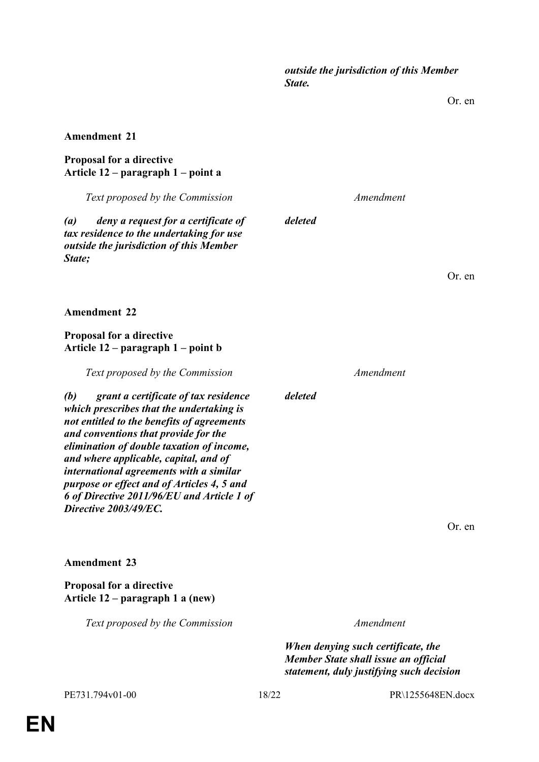*outside the jurisdiction of this Member State.*

Or. en

#### **Amendment 21**

### **Proposal for a directive Article 12 – paragraph 1 – point a**

*Text proposed by the Commission Amendment*

*(a) deny a request for a certificate of tax residence to the undertaking for use outside the jurisdiction of this Member State;*

**Amendment 22**

# **Proposal for a directive Article 12 – paragraph 1 – point b**

*Text proposed by the Commission Amendment*

*(b) grant a certificate of tax residence which prescribes that the undertaking is not entitled to the benefits of agreements and conventions that provide for the elimination of double taxation of income, and where applicable, capital, and of international agreements with a similar purpose or effect and of Articles 4, 5 and 6 of Directive 2011/96/EU and Article 1 of Directive 2003/49/EC.*

**Amendment 23**

# **Proposal for a directive Article 12 – paragraph 1 a (new)**

*Text proposed by the Commission Amendment*

*When denying such certificate, the Member State shall issue an official statement, duly justifying such decision* 

Or. en

*deleted*

*deleted*

Or. en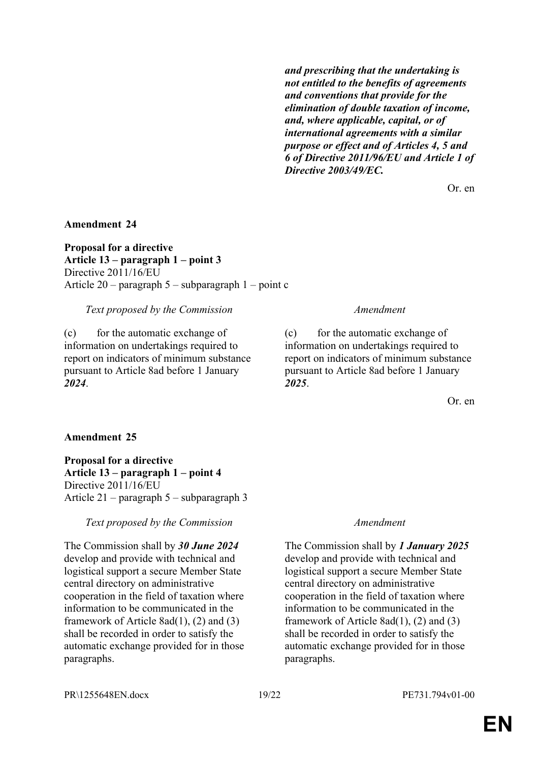*and prescribing that the undertaking is not entitled to the benefits of agreements and conventions that provide for the elimination of double taxation of income, and, where applicable, capital, or of international agreements with a similar purpose or effect and of Articles 4, 5 and 6 of Directive 2011/96/EU and Article 1 of Directive 2003/49/EC.*

Or. en

#### **Amendment 24**

**Proposal for a directive Article 13 – paragraph 1 – point 3** Directive 2011/16/EU Article 20 – paragraph 5 – subparagraph 1 – point c

*Text proposed by the Commission Amendment*

(c) for the automatic exchange of information on undertakings required to report on indicators of minimum substance pursuant to Article 8ad before 1 January *2024*.

(c) for the automatic exchange of information on undertakings required to report on indicators of minimum substance pursuant to Article 8ad before 1 January *2025*.

Or. en

### **Amendment 25**

**Proposal for a directive Article 13 – paragraph 1 – point 4** Directive 2011/16/EU Article 21 – paragraph 5 – subparagraph 3

#### *Text proposed by the Commission Amendment*

The Commission shall by *30 June 2024* develop and provide with technical and logistical support a secure Member State central directory on administrative cooperation in the field of taxation where information to be communicated in the framework of Article 8ad(1), (2) and (3) shall be recorded in order to satisfy the automatic exchange provided for in those paragraphs.

The Commission shall by *1 January 2025* develop and provide with technical and logistical support a secure Member State central directory on administrative cooperation in the field of taxation where information to be communicated in the framework of Article 8ad(1), (2) and (3) shall be recorded in order to satisfy the automatic exchange provided for in those paragraphs.

PR\1255648EN.docx 19/22 PE731.794v01-00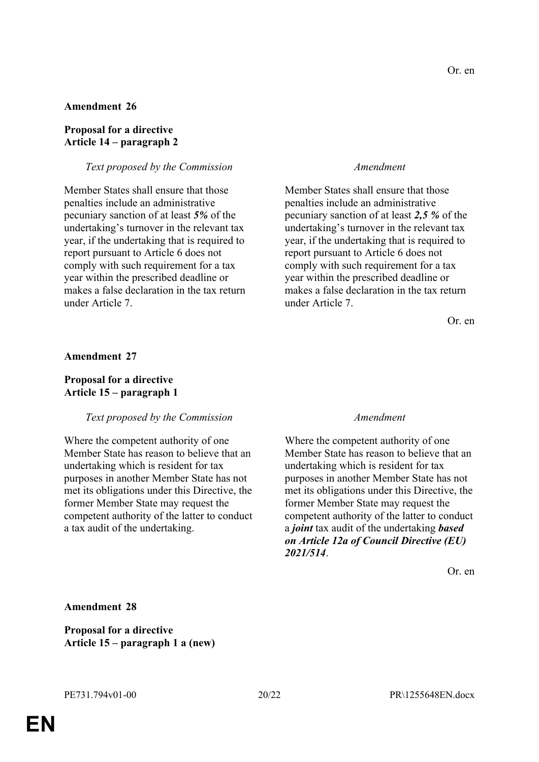#### **Amendment 26**

### **Proposal for a directive Article 14 – paragraph 2**

#### *Text proposed by the Commission Amendment*

Member States shall ensure that those penalties include an administrative pecuniary sanction of at least *5%* of the undertaking's turnover in the relevant tax year, if the undertaking that is required to report pursuant to Article 6 does not comply with such requirement for a tax year within the prescribed deadline or makes a false declaration in the tax return under Article 7.

Member States shall ensure that those penalties include an administrative pecuniary sanction of at least *2,5 %* of the undertaking's turnover in the relevant tax year, if the undertaking that is required to report pursuant to Article 6 does not comply with such requirement for a tax year within the prescribed deadline or makes a false declaration in the tax return under Article 7.

Or. en

#### **Amendment 27**

### **Proposal for a directive Article 15 – paragraph 1**

#### *Text proposed by the Commission Amendment*

Where the competent authority of one Member State has reason to believe that an undertaking which is resident for tax purposes in another Member State has not met its obligations under this Directive, the former Member State may request the competent authority of the latter to conduct a tax audit of the undertaking.

Where the competent authority of one Member State has reason to believe that an undertaking which is resident for tax purposes in another Member State has not met its obligations under this Directive, the former Member State may request the competent authority of the latter to conduct a *joint* tax audit of the undertaking *based on Article 12a of Council Directive (EU) 2021/514*.

Or. en

**Amendment 28**

**Proposal for a directive Article 15 – paragraph 1 a (new)**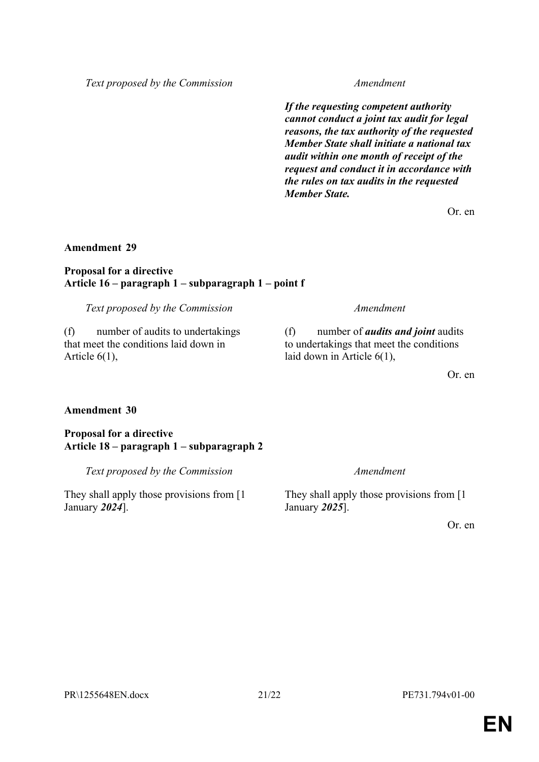*Text proposed by the Commission Amendment*

*If the requesting competent authority cannot conduct a joint tax audit for legal reasons, the tax authority of the requested Member State shall initiate a national tax audit within one month of receipt of the request and conduct it in accordance with the rules on tax audits in the requested Member State.*

Or. en

# **Amendment 29**

### **Proposal for a directive Article 16 – paragraph 1 – subparagraph 1 – point f**

*Text proposed by the Commission Amendment*

(f) number of audits to undertakings that meet the conditions laid down in Article 6(1),

(f) number of *audits and joint* audits to undertakings that meet the conditions laid down in Article 6(1),

Or. en

# **Amendment 30**

# **Proposal for a directive Article 18 – paragraph 1 – subparagraph 2**

*Text proposed by the Commission Amendment*

They shall apply those provisions from [1 January *2024*].

They shall apply those provisions from [1 January *2025*].

Or. en